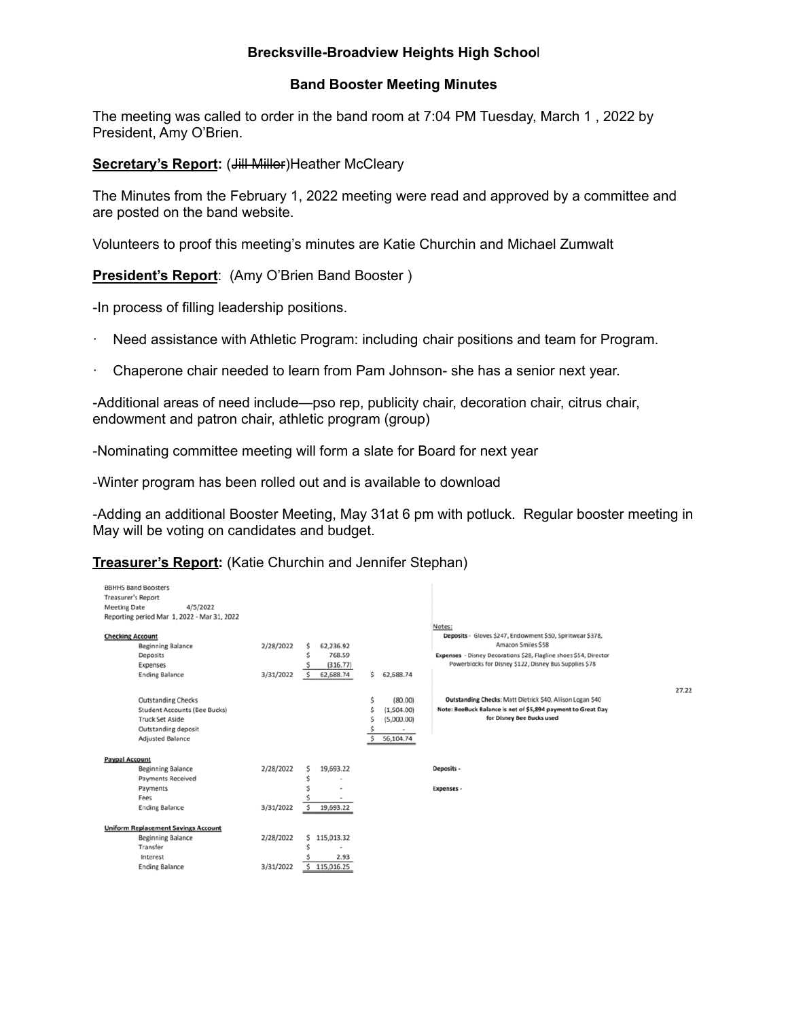## **Brecksville-Broadview Heights High Schoo**l

## **Band Booster Meeting Minutes**

The meeting was called to order in the band room at 7:04 PM Tuesday, March 1 , 2022 by President, Amy O'Brien.

**Secretary's Report: (Jill Miller) Heather McCleary** 

The Minutes from the February 1, 2022 meeting were read and approved by a committee and are posted on the band website.

Volunteers to proof this meeting's minutes are Katie Churchin and Michael Zumwalt

**President's Report**: (Amy O'Brien Band Booster )

-In process of filling leadership positions.

- Need assistance with Athletic Program: including chair positions and team for Program.
- · Chaperone chair needed to learn from Pam Johnson- she has a senior next year.

-Additional areas of need include—pso rep, publicity chair, decoration chair, citrus chair, endowment and patron chair, athletic program (group)

-Nominating committee meeting will form a slate for Board for next year

-Winter program has been rolled out and is available to download

-Adding an additional Booster Meeting, May 31at 6 pm with potluck. Regular booster meeting in May will be voting on candidates and budget.

**Treasurer's Report:** (Katie Churchin and Jennifer Stephan)

| <b>BBHHS Band Boosters</b><br><b>Treasurer's Report</b><br>4/5/2022<br><b>Meeting Date</b><br>Reporting period Mar 1, 2022 - Mar 31, 2022        |                                                                                                         | Notes:                                                                                                                                                                                                                             |       |
|--------------------------------------------------------------------------------------------------------------------------------------------------|---------------------------------------------------------------------------------------------------------|------------------------------------------------------------------------------------------------------------------------------------------------------------------------------------------------------------------------------------|-------|
| <b>Checking Account</b><br><b>Beginning Balance</b><br>Deposits<br>Expenses<br><b>Ending Balance</b>                                             | 2/28/2022<br>62.236.92<br>768.59<br>(316.77)<br>62,688.74<br>3/31/2022                                  | Deposits - Gloves \$247, Endowment \$50, Spiritwear \$378,<br>Amazon Smiles \$58<br>Expenses - Disney Decorations \$28, Flagline shoes \$54, Director<br>Powerblocks for Disney \$122, Disney Bus Supplies \$78<br>s.<br>62,688.74 | 27.22 |
| <b>Outstanding Checks</b><br><b>Student Accounts (Bee Bucks)</b><br><b>Truck Set Aside</b><br>Outstanding deposit<br><b>Adjusted Balance</b>     |                                                                                                         | Outstanding Checks: Matt Dietrick \$40, Allison Logan \$40<br>(80.00)<br>Ś<br>Note: BeeBuck Balance is net of \$5,894 payment to Great Day<br>(1,504.00)<br>for Disney Bee Bucks used<br>(5,000.00)<br>56,104.74                   |       |
| <b>Paypal Account</b><br><b>Beginning Balance</b><br><b>Payments Received</b><br>Payments<br>Fees                                                | 2/28/2022<br>19,693.22<br>s                                                                             | Deposits -<br>Expenses -                                                                                                                                                                                                           |       |
| <b>Ending Balance</b><br><b>Uniform Replacement Savings Account</b><br><b>Beginning Balance</b><br>Transfer<br>Interest<br><b>Ending Balance</b> | 3/31/2022<br>19,693.22<br>\$.<br>2/28/2022<br>\$<br>115,013.32<br>2.93<br>3/31/2022<br>Ś.<br>115,016.25 |                                                                                                                                                                                                                                    |       |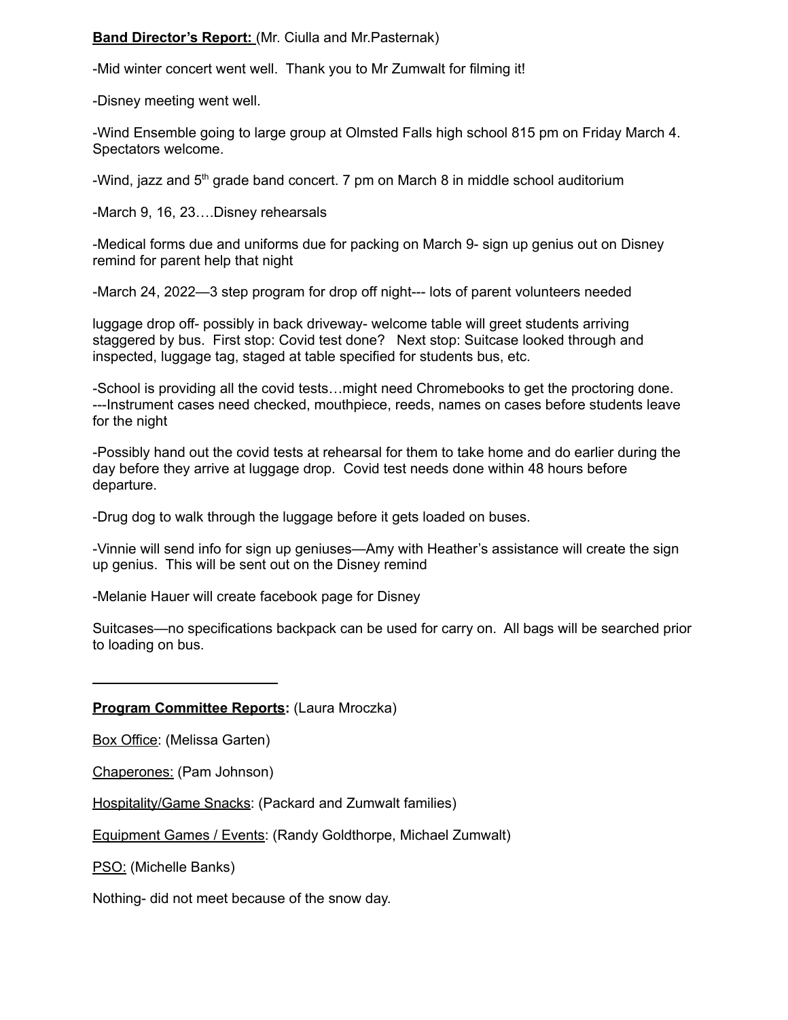## **Band Director's Report:** (Mr. Ciulla and Mr.Pasternak)

-Mid winter concert went well. Thank you to Mr Zumwalt for filming it!

-Disney meeting went well.

-Wind Ensemble going to large group at Olmsted Falls high school 815 pm on Friday March 4. Spectators welcome.

-Wind, jazz and  $5<sup>th</sup>$  grade band concert. 7 pm on March 8 in middle school auditorium

-March 9, 16, 23….Disney rehearsals

-Medical forms due and uniforms due for packing on March 9- sign up genius out on Disney remind for parent help that night

-March 24, 2022—3 step program for drop off night--- lots of parent volunteers needed

luggage drop off- possibly in back driveway- welcome table will greet students arriving staggered by bus. First stop: Covid test done? Next stop: Suitcase looked through and inspected, luggage tag, staged at table specified for students bus, etc.

-School is providing all the covid tests…might need Chromebooks to get the proctoring done. ---Instrument cases need checked, mouthpiece, reeds, names on cases before students leave for the night

-Possibly hand out the covid tests at rehearsal for them to take home and do earlier during the day before they arrive at luggage drop. Covid test needs done within 48 hours before departure.

-Drug dog to walk through the luggage before it gets loaded on buses.

-Vinnie will send info for sign up geniuses—Amy with Heather's assistance will create the sign up genius. This will be sent out on the Disney remind

-Melanie Hauer will create facebook page for Disney

Suitcases—no specifications backpack can be used for carry on. All bags will be searched prior to loading on bus.

**Program Committee Reports:** (Laura Mroczka)

Box Office: (Melissa Garten)

Chaperones: (Pam Johnson)

Hospitality/Game Snacks: (Packard and Zumwalt families)

Equipment Games / Events: (Randy Goldthorpe, Michael Zumwalt)

PSO: (Michelle Banks)

Nothing- did not meet because of the snow day.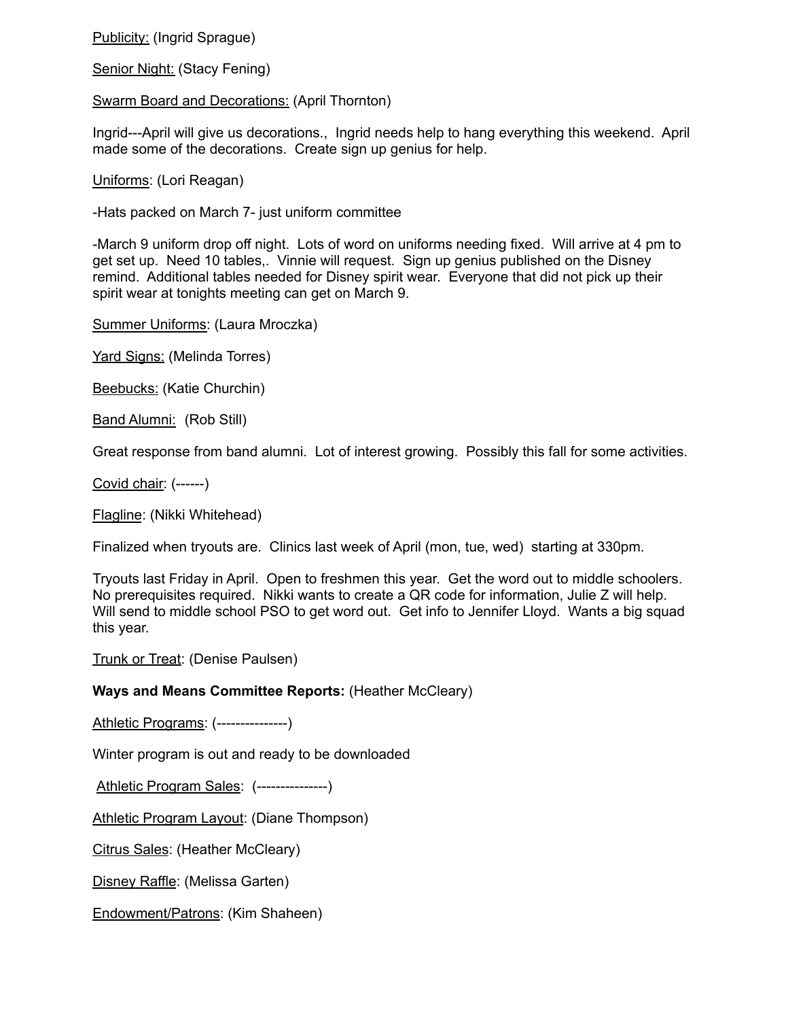Publicity: (Ingrid Sprague)

Senior Night: (Stacy Fening)

Swarm Board and Decorations: (April Thornton)

Ingrid---April will give us decorations., Ingrid needs help to hang everything this weekend. April made some of the decorations. Create sign up genius for help.

Uniforms: (Lori Reagan)

-Hats packed on March 7- just uniform committee

-March 9 uniform drop off night. Lots of word on uniforms needing fixed. Will arrive at 4 pm to get set up. Need 10 tables,. Vinnie will request. Sign up genius published on the Disney remind. Additional tables needed for Disney spirit wear. Everyone that did not pick up their spirit wear at tonights meeting can get on March 9.

Summer Uniforms: (Laura Mroczka)

Yard Signs: (Melinda Torres)

Beebucks: (Katie Churchin)

Band Alumni: (Rob Still)

Great response from band alumni. Lot of interest growing. Possibly this fall for some activities.

Covid chair: (------)

Flagline: (Nikki Whitehead)

Finalized when tryouts are. Clinics last week of April (mon, tue, wed) starting at 330pm.

Tryouts last Friday in April. Open to freshmen this year. Get the word out to middle schoolers. No prerequisites required. Nikki wants to create a QR code for information, Julie Z will help. Will send to middle school PSO to get word out. Get info to Jennifer Lloyd. Wants a big squad this year.

Trunk or Treat: (Denise Paulsen)

**Ways and Means Committee Reports:** (Heather McCleary)

Athletic Programs: (---------------)

Winter program is out and ready to be downloaded

Athletic Program Sales: (---------------)

Athletic Program Layout: (Diane Thompson)

Citrus Sales: (Heather McCleary)

Disney Raffle: (Melissa Garten)

Endowment/Patrons: (Kim Shaheen)